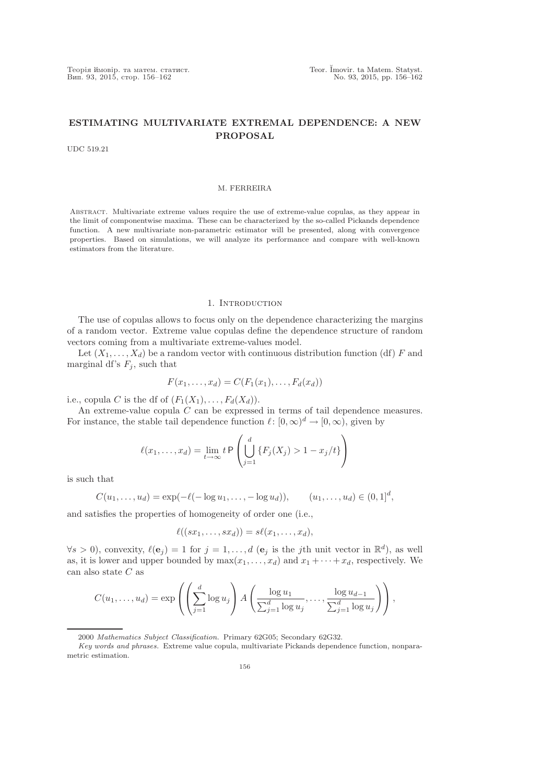Теорія ймовір. та матем. статист.<br>
Вип. 93, 2015, стор. 156–162 Мо. 93, 2015, pp. 156–162

# **ESTIMATING MULTIVARIATE EXTREMAL DEPENDENCE: A NEW PROPOSAL**

UDC 519.21

## M. FERREIRA

Abstract. Multivariate extreme values require the use of extreme-value copulas, as they appear in the limit of componentwise maxima. These can be characterized by the so-called Pickands dependence function. A new multivariate non-parametric estimator will be presented, along with convergence properties. Based on simulations, we will analyze its performance and compare with well-known estimators from the literature.

# 1. INTRODUCTION

The use of copulas allows to focus only on the dependence characterizing the margins of a random vector. Extreme value copulas define the dependence structure of random vectors coming from a multivariate extreme-values model.

Let  $(X_1, \ldots, X_d)$  be a random vector with continuous distribution function (df) F and marginal df's  $F_j$ , such that

$$
F(x_1,\ldots,x_d)=C(F_1(x_1),\ldots,F_d(x_d))
$$

i.e., copula C is the df of  $(F_1(X_1),...,F_d(X_d))$ .

An extreme-value copula C can be expressed in terms of tail dependence measures. For instance, the stable tail dependence function  $\ell: [0, \infty)^d \to [0, \infty)$ , given by

$$
\ell(x_1,\ldots,x_d) = \lim_{t\to\infty} t \mathsf{P}\left(\bigcup_{j=1}^d \{F_j(X_j) > 1 - x_j/t\}\right)
$$

is such that

 $C(u_1, \ldots, u_d) = \exp(-\ell(-\log u_1, \ldots, -\log u_d)), \qquad (u_1, \ldots, u_d) \in (0, 1]^d,$ 

and satisfies the properties of homogeneity of order one (i.e.,

$$
\ell((sx_1,\ldots,sx_d))=s\ell(x_1,\ldots,x_d),
$$

 $\forall s > 0$ , convexity,  $\ell(\mathbf{e}_j) = 1$  for  $j = 1, ..., d$  ( $\mathbf{e}_j$  is the *j*th unit vector in  $\mathbb{R}^d$ ), as well as, it is lower and upper bounded by  $\max(x_1,\ldots,x_d)$  and  $x_1 + \cdots + x_d$ , respectively. We can also state C as

$$
C(u_1,\ldots,u_d)=\exp\left(\left(\sum_{j=1}^d\log u_j\right)A\left(\frac{\log u_1}{\sum_{j=1}^d\log u_j},\ldots,\frac{\log u_{d-1}}{\sum_{j=1}^d\log u_j}\right)\right),\right)
$$

<sup>2000</sup> Mathematics Subject Classification. Primary 62G05; Secondary 62G32.

Key words and phrases. Extreme value copula, multivariate Pickands dependence function, nonparametric estimation.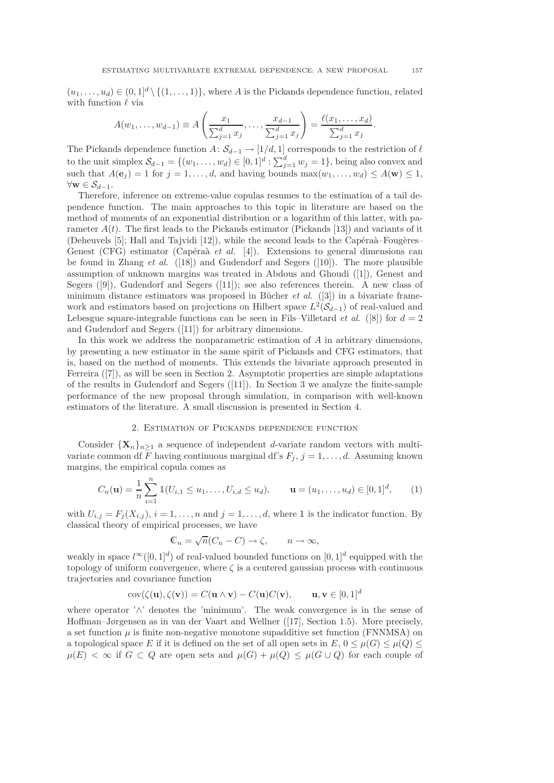$(u_1,\ldots,u_d) \in (0,1]^d \setminus \{(1,\ldots,1)\}\)$ , where A is the Pickands dependence function, related with function  $\ell$  via

$$
A(w_1,\ldots,w_{d-1}) \equiv A\left(\frac{x_1}{\sum_{j=1}^d x_j},\ldots,\frac{x_{d-1}}{\sum_{j=1}^d x_j}\right) = \frac{\ell(x_1,\ldots,x_d)}{\sum_{j=1}^d x_j}.
$$

The Pickands dependence function  $A: \mathcal{S}_{d-1} \to [1/d, 1]$  corresponds to the restriction of  $\ell$ to the unit simplex  $S_{d-1} = \{(w_1, \ldots, w_d) \in [0, 1]^d : \sum_{j=1}^d w_j = 1\}$ , being also convex and such that  $A(\mathbf{e}_j) = 1$  for  $j = 1, \ldots, d$ , and having bounds max $(w_1, \ldots, w_d) \leq A(\mathbf{w}) \leq 1$ ,  $\forall \mathbf{w} \in \mathcal{S}_{d-1}.$ 

Therefore, inference on extreme-value copulas resumes to the estimation of a tail dependence function. The main approaches to this topic in literature are based on the method of moments of an exponential distribution or a logarithm of this latter, with parameter  $A(t)$ . The first leads to the Pickands estimator (Pickands [13]) and variants of it (Deheuvels  $[5]$ ; Hall and Tajvidi  $[12]$ ), while the second leads to the Capéraà–Fougères– Genest (CFG) estimator (Capéraà et al. [4]). Extensions to general dimensions can be found in Zhang *et al.*  $([18])$  and Gudendorf and Segers  $([10])$ . The more plausible assumption of unknown margins was treated in Abdous and Ghoudi ([1]), Genest and Segers ([9]), Gudendorf and Segers ([11]); see also references therein. A new class of minimum distance estimators was proposed in Bücher *et al.* ([3]) in a bivariate framework and estimators based on projections on Hilbert space  $L^2(\mathcal{S}_{d-1})$  of real-valued and Lebesgue square-integrable functions can be seen in Fils–Villetard *et al.* ([8]) for  $d = 2$ and Gudendorf and Segers ([11]) for arbitrary dimensions.

In this work we address the nonparametric estimation of A in arbitrary dimensions, by presenting a new estimator in the same spirit of Pickands and CFG estimators, that is, based on the method of moments. This extends the bivariate approach presented in Ferreira ([7]), as will be seen in Section 2. Asymptotic properties are simple adaptations of the results in Gudendorf and Segers ([11]). In Section 3 we analyze the finite-sample performance of the new proposal through simulation, in comparison with well-known estimators of the literature. A small discussion is presented in Section 4.

### 2. Estimation of Pickands dependence function

Consider  ${\mathbf {X}_n}_{n>1}$  a sequence of independent *d*-variate random vectors with multivariate common df F having continuous marginal df's  $F_j$ ,  $j = 1, \ldots, d$ . Assuming known margins, the empirical copula comes as

$$
C_n(\mathbf{u}) = \frac{1}{n} \sum_{i=1}^n \mathbb{1}(U_{i,1} \le u_1, \dots, U_{i,d} \le u_d), \qquad \mathbf{u} = (u_1, \dots, u_d) \in [0,1]^d, \tag{1}
$$

with  $U_{i,j} = F_j(X_{i,j}), i = 1,\ldots,n$  and  $j = 1,\ldots,d$ , where  $\mathbbm{1}$  is the indicator function. By classical theory of empirical processes, we have

$$
\mathbb{C}_n = \sqrt{n}(C_n - C) \to \zeta, \qquad n \to \infty,
$$

weakly in space  $l^{\infty}([0,1]^d)$  of real-valued bounded functions on  $[0,1]^d$  equipped with the topology of uniform convergence, where  $\zeta$  is a centered gaussian process with continuous trajectories and covariance function

$$
cov(\zeta(\mathbf{u}), \zeta(\mathbf{v})) = C(\mathbf{u} \wedge \mathbf{v}) - C(\mathbf{u})C(\mathbf{v}), \qquad \mathbf{u}, \mathbf{v} \in [0,1]^d
$$

where operator '∧' denotes the 'minimum'. The weak convergence is in the sense of Hoffman–Jørgensen as in van der Vaart and Wellner ([17], Section 1.5). More precisely, a set function  $\mu$  is finite non-negative monotone supadditive set function (FNNMSA) on a topological space E if it is defined on the set of all open sets in  $E, 0 \leq \mu(G) \leq \mu(Q) \leq$  $\mu(E) < \infty$  if  $G \subset Q$  are open sets and  $\mu(G) + \mu(Q) \leq \mu(G \cup Q)$  for each couple of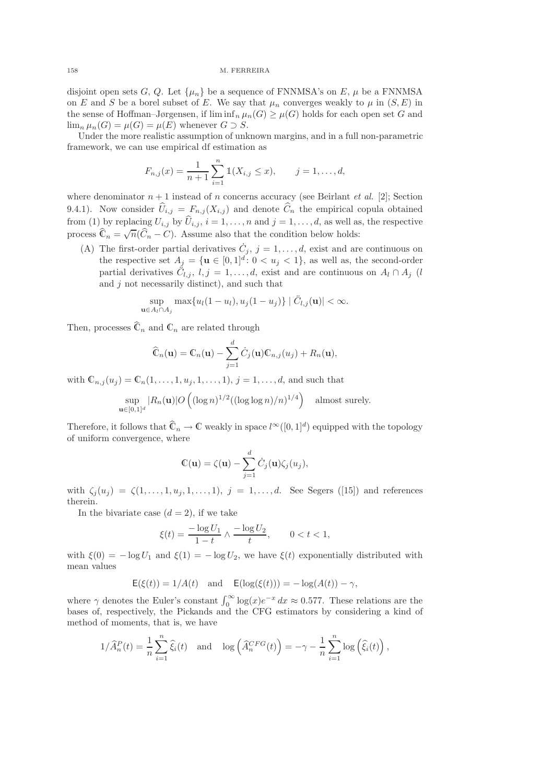#### 158 M. FERREIRA

disjoint open sets G, Q. Let  $\{\mu_n\}$  be a sequence of FNNMSA's on E,  $\mu$  be a FNNMSA on E and S be a borel subset of E. We say that  $\mu_n$  converges weakly to  $\mu$  in  $(S, E)$  in the sense of Hoffman–Jørgensen, if  $\liminf_n \mu_n(G) \geq \mu(G)$  holds for each open set G and  $\lim_{n} \mu_n(G) = \mu(G) = \mu(E)$  whenever  $G \supset S$ .

Under the more realistic assumption of unknown margins, and in a full non-parametric framework, we can use empirical df estimation as

$$
F_{n,j}(x) = \frac{1}{n+1} \sum_{i=1}^{n} \mathbb{1}(X_{i,j} \leq x), \qquad j = 1, \dots, d,
$$

where denominator  $n + 1$  instead of n concerns accuracy (see Beirlant *et al.* [2]; Section 9.4.1). Now consider  $\widehat{U}_{i,j} = F_{n,j}(X_{i,j})$  and denote  $\widehat{C}_n$  the empirical copula obtained from (1) by replacing  $U_{i,j}$  by  $\hat{U}_{i,j}$ ,  $i = 1, \ldots, n$  and  $j = 1, \ldots, d$ , as well as, the respective process  $\widehat{\mathbb{C}}_n = \sqrt{n}(\widehat{C}_n - C)$ . Assume also that the condition below holds:

(A) The first-order partial derivatives  $\dot{C}_i$ ,  $j = 1, \ldots, d$ , exist and are continuous on the respective set  $A_j = {\mathbf{u} \in [0,1]^d : 0 < u_j < 1}$ , as well as, the second-order partial derivatives  $\ddot{C}_{l,j}, l, j = 1, \ldots, d$ , exist and are continuous on  $A_l \cap A_j$  (l and  $j$  not necessarily distinct), and such that

$$
\sup_{\mathbf{u}\in A_l\cap A_j}\max\{u_l(1-u_l),u_j(1-u_j)\}\mid \ddot{C}_{l,j}(\mathbf{u})|<\infty.
$$

Then, processes  $\widehat{\mathbb{C}}_n$  and  $\mathbb{C}_n$  are related through

$$
\widehat{\mathbb{C}}_n(\mathbf{u}) = \mathbb{C}_n(\mathbf{u}) - \sum_{j=1}^d \dot{C}_j(\mathbf{u}) \mathbb{C}_{n,j}(u_j) + R_n(\mathbf{u}),
$$

with  $\mathbb{C}_{n,j}(u_j) = \mathbb{C}_n(1,\ldots,1, u_j, 1,\ldots, 1), j = 1,\ldots, d$ , and such that

$$
\sup_{\mathbf{u}\in[0,1]^d} |R_n(\mathbf{u})| O\left( (\log n)^{1/2} ((\log \log n)/n)^{1/4} \right) \quad \text{almost surely.}
$$

Therefore, it follows that  $\widehat{\mathbb{C}}_n \to \mathbb{C}$  weakly in space  $l^{\infty}([0,1]^d)$  equipped with the topology of uniform convergence, where

$$
\mathbb{C}(\mathbf{u}) = \zeta(\mathbf{u}) - \sum_{j=1}^d \dot{C}_j(\mathbf{u}) \zeta_j(u_j),
$$

with  $\zeta_i(u_i) = \zeta(1,\ldots,1,u_i,1,\ldots,1),$   $j = 1,\ldots,d$ . See Segers ([15]) and references therein.

In the bivariate case  $(d = 2)$ , if we take

$$
\xi(t) = \frac{-\log U_1}{1 - t} \wedge \frac{-\log U_2}{t}, \qquad 0 < t < 1,
$$

with  $\xi(0) = -\log U_1$  and  $\xi(1) = -\log U_2$ , we have  $\xi(t)$  exponentially distributed with mean values

$$
\mathsf{E}(\xi(t)) = 1/A(t) \quad \text{and} \quad \mathsf{E}(\log(\xi(t))) = -\log(A(t)) - \gamma,
$$

where  $\gamma$  denotes the Euler's constant  $\int_0^\infty \log(x) e^{-x} dx \approx 0.577$ . These relations are the bases of, respectively, the Pickands and the CFG estimators by considering a kind of method of moments, that is, we have

$$
1/\widehat{A}_n^P(t) = \frac{1}{n} \sum_{i=1}^n \widehat{\xi}_i(t) \text{ and } \log\left(\widehat{A}_n^{CFG}(t)\right) = -\gamma - \frac{1}{n} \sum_{i=1}^n \log\left(\widehat{\xi}_i(t)\right),
$$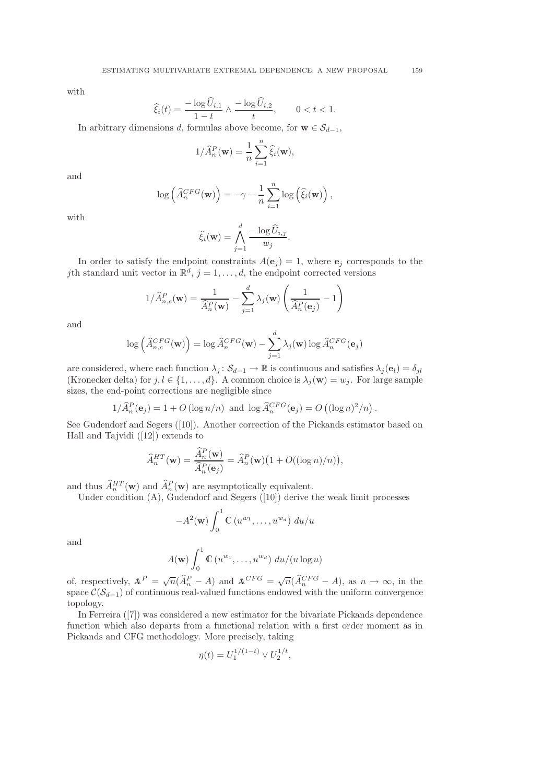with

$$
\widehat{\xi_i}(t) = \frac{-\log \widehat{U}_{i,1}}{1-t} \wedge \frac{-\log \widehat{U}_{i,2}}{t}, \qquad 0 < t < 1.
$$

In arbitrary dimensions d, formulas above become, for **w**  $\in \mathcal{S}_{d-1}$ ,

$$
1/\widehat{A}_n^P(\mathbf{w}) = \frac{1}{n} \sum_{i=1}^n \widehat{\xi}_i(\mathbf{w}),
$$

and

$$
\log\left(\widehat{A}_n^{CFG}(\mathbf{w})\right) = -\gamma - \frac{1}{n}\sum_{i=1}^n \log\left(\widehat{\xi}_i(\mathbf{w})\right),\,
$$

with

$$
\widehat{\xi}_i(\mathbf{w}) = \bigwedge_{j=1}^d \frac{-\log \widehat{U}_{i,j}}{w_j}.
$$

In order to satisfy the endpoint constraints  $A(\mathbf{e}_i) = 1$ , where  $\mathbf{e}_i$  corresponds to the jth standard unit vector in  $\mathbb{R}^d$ ,  $j = 1, \ldots, d$ , the endpoint corrected versions

$$
1/\widehat{A}_{n,c}^P(\mathbf{w}) = \frac{1}{\widehat{A}_n^P(\mathbf{w})} - \sum_{j=1}^d \lambda_j(\mathbf{w}) \left(\frac{1}{\widehat{A}_n^P(\mathbf{e}_j)} - 1\right)
$$

and

$$
\log\left(\widehat{A}_{n,c}^{CFG}(\mathbf{w})\right) = \log \widehat{A}_{n}^{CFG}(\mathbf{w}) - \sum_{j=1}^{d} \lambda_j(\mathbf{w}) \log \widehat{A}_{n}^{CFG}(\mathbf{e}_j)
$$

are considered, where each function  $\lambda_j : \mathcal{S}_{d-1} \to \mathbb{R}$  is continuous and satisfies  $\lambda_j(\mathbf{e}_l) = \delta_{jl}$ (Kronecker delta) for  $j, l \in \{1, ..., d\}$ . A common choice is  $\lambda_i(\mathbf{w}) = w_j$ . For large sample sizes, the end-point corrections are negligible since

$$
1/\widehat{A}_n^P(\mathbf{e}_j) = 1 + O\left(\log n/n\right) \text{ and } \log \widehat{A}_n^{CFG}(\mathbf{e}_j) = O\left(\left(\log n\right)^2/n\right).
$$

See Gudendorf and Segers ([10]). Another correction of the Pickands estimator based on Hall and Tajvidi ([12]) extends to

$$
\widehat{A}_n^{HT}(\mathbf{w}) = \frac{\widehat{A}_n^P(\mathbf{w})}{\widehat{A}_n^P(\mathbf{e}_j)} = \widehat{A}_n^P(\mathbf{w}) \big( 1 + O((\log n)/n) \big),
$$

and thus  $\widehat{A}_n^{HT}(\mathbf{w})$  and  $\widehat{A}_n^P(\mathbf{w})$  are asymptotically equivalent.

Under condition (A), Gudendorf and Segers ([10]) derive the weak limit processes

$$
-A^2(\mathbf{w})\int_0^1 \mathbb{C}\left(u^{w_1},\ldots,u^{w_d}\right)du/u
$$

and

$$
A(\mathbf{w}) \int_0^1 \mathbb{C} \left( u^{w_1}, \dots, u^{w_d} \right) du / (u \log u)
$$

of, respectively,  $\mathbb{A}^P = \sqrt{n}(\widehat{A}_n^P - A)$  and  $\mathbb{A}^{CFG} = \sqrt{n}(\widehat{A}_n^{CFG} - A)$ , as  $n \to \infty$ , in the space  $\mathcal{C}(\mathcal{S}_{d-1})$  of continuous real-valued functions endowed with the uniform convergence topology.

In Ferreira ([7]) was considered a new estimator for the bivariate Pickands dependence function which also departs from a functional relation with a first order moment as in Pickands and CFG methodology. More precisely, taking

$$
\eta(t) = U_1^{1/(1-t)} \vee U_2^{1/t},
$$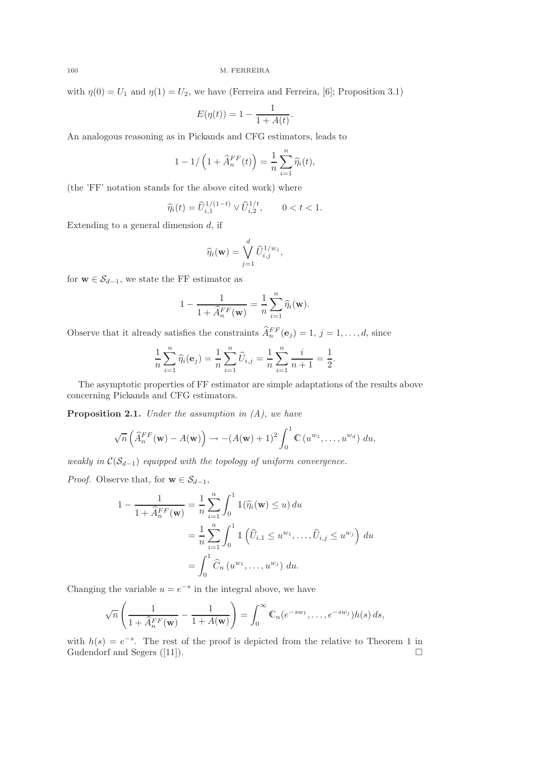with  $\eta(0) = U_1$  and  $\eta(1) = U_2$ , we have (Ferreira and Ferreira, [6]; Proposition 3.1)

$$
E(\eta(t)) = 1 - \frac{1}{1 + A(t)}.
$$

An analogous reasoning as in Pickands and CFG estimators, leads to

$$
1 - 1/\left(1 + \widehat{A}_n^{FF}(t)\right) = \frac{1}{n} \sum_{i=1}^n \widehat{\eta}_i(t),
$$

(the 'FF' notation stands for the above cited work) where

$$
\widehat{\eta_i}(t) = \widehat{U}_{i,1}^{1/(1-t)} \vee \widehat{U}_{i,2}^{1/t}, \qquad 0 < t < 1.
$$

Extending to a general dimension  $d$ , if

$$
\widehat{\eta}_i(\mathbf{w}) = \bigvee_{j=1}^d \widehat{U}_{i,j}^{1/w_j},
$$

for **w**  $\in \mathcal{S}_{d-1}$ , we state the FF estimator as

$$
1 - \frac{1}{1 + \widehat{A}_n^{FF}(\mathbf{w})} = \frac{1}{n} \sum_{i=1}^n \widehat{\eta}_i(\mathbf{w}).
$$

Observe that it already satisfies the constraints  $\hat{A}_n^{FF}(\mathbf{e}_j) = 1, j = 1, ..., d$ , since

$$
\frac{1}{n}\sum_{i=1}^{n}\widehat{\eta}_{i}(\mathbf{e}_{j})=\frac{1}{n}\sum_{i=1}^{n}\widehat{U}_{i,j}=\frac{1}{n}\sum_{i=1}^{n}\frac{i}{n+1}=\frac{1}{2}.
$$

The asymptotic properties of FF estimator are simple adaptations of the results above concerning Pickands and CFG estimators.

**Proposition 2.1.** Under the assumption in  $(A)$ , we have

$$
\sqrt{n}\left(\widehat{A}_n^{FF}(\mathbf{w}) - A(\mathbf{w})\right) \rightarrow -(A(\mathbf{w}) + 1)^2 \int_0^1 \mathbb{C}\left(u^{w_1}, \ldots, u^{w_d}\right) du,
$$

weakly in  $C(S_{d-1})$  equipped with the topology of uniform convergence.

*Proof.* Observe that, for **w**  $\in \mathcal{S}_{d-1}$ ,

$$
1 - \frac{1}{1 + \widehat{A}_n^{FF}(\mathbf{w})} = \frac{1}{n} \sum_{i=1}^n \int_0^1 \mathbb{1}(\widehat{\eta}_i(\mathbf{w}) \le u) du
$$
  
= 
$$
\frac{1}{n} \sum_{i=1}^n \int_0^1 \mathbb{1}(\widehat{U}_{i,1} \le u^{w_1}, \dots, \widehat{U}_{i,j} \le u^{w_j}) du
$$
  
= 
$$
\int_0^1 \widehat{C}_n (u^{w_1}, \dots, u^{w_j}) du.
$$

Changing the variable  $u = e^{-s}$  in the integral above, we have

$$
\sqrt{n}\left(\frac{1}{1+\widehat{A}_n^{FF}(\mathbf{w})}-\frac{1}{1+A(\mathbf{w})}\right)=\int_0^\infty \mathbb{C}_n(e^{-sw_1},\ldots,e^{-sw_j})h(s)\,ds,
$$

with  $h(s) = e^{-s}$ . The rest of the proof is depicted from the relative to Theorem 1 in Gudendorf and Segers  $([11])$ .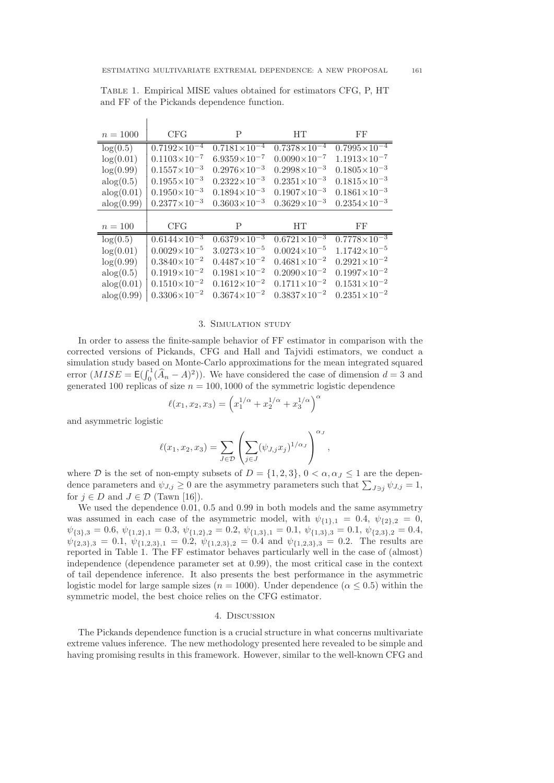| $n = 1000$ | CFG                     | P                       | <b>HT</b>               | FF                      |
|------------|-------------------------|-------------------------|-------------------------|-------------------------|
| log(0.5)   | $0.7192\times10^{-4}$   | $0.7181 \times 10^{-4}$ | $0.7378 \times 10^{-4}$ | $0.7995 \times 10^{-4}$ |
| log(0.01)  | $0.1103\times10^{-7}$   | $6.9359\times10^{-7}$   | $0.0090\times10^{-7}$   | $1.1913\times10^{-7}$   |
| log(0.99)  | $0.1557\times10^{-3}$   | $0.2976\times10^{-3}$   | $0.2998\times10^{-3}$   | $0.1805\times10^{-3}$   |
| alog(0.5)  | $0.1955\times10^{-3}$   | $0.2322\times10^{-3}$   | $0.2351\times10^{-3}$   | $0.1815\times10^{-3}$   |
| alog(0.01) | $0.1950\times10^{-3}$   | $0.1894\times10^{-3}$   | $0.1907\times10^{-3}$   | $0.1861\times10^{-3}$   |
| alog(0.99) | $0.2377\times10^{-3}$   | $0.3603\times10^{-3}$   | $0.3629\times10^{-3}$   | $0.2354\times10^{-3}$   |
|            |                         |                         |                         |                         |
| $n = 100$  | CFG                     | P                       | <b>HT</b>               | FF                      |
| log(0.5)   | $0.6144 \times 10^{-3}$ | $0.6379 \times 10^{-3}$ | $0.6721\times10^{-3}$   | $0.7778\times10^{-3}$   |
| log(0.01)  | $0.0029\times10^{-5}$   | $3.0273\times10^{-5}$   | $0.0024\times10^{-5}$   | $1.1742\times10^{-5}$   |
| log(0.99)  | $0.3840\times10^{-2}$   | $0.4487\times10^{-2}$   | $0.4681\times10^{-2}$   | $0.2921\times10^{-2}$   |
| alog(0.5)  | $0.1919\times10^{-2}$   | $0.1981\times10^{-2}$   | $0.2090\times10^{-2}$   | $0.1997\times10^{-2}$   |
| alog(0.01) | $0.1510\times10^{-2}$   | $0.1612\times10^{-2}$   | $0.1711\times10^{-2}$   | $0.1531\times10^{-2}$   |
| alog(0.99) | $0.3306{\times}10^{-2}$ | $0.3674\times10^{-2}$   | $0.3837\times10^{-2}$   | $0.2351\times10^{-2}$   |

Table 1. Empirical MISE values obtained for estimators CFG, P, HT and FF of the Pickands dependence function.

# 3. Simulation study

In order to assess the finite-sample behavior of FF estimator in comparison with the corrected versions of Pickands, CFG and Hall and Tajvidi estimators, we conduct a simulation study based on Monte-Carlo approximations for the mean integrated squared error  $(MISE = E(\int_0^1 (\hat{A}_n - A)^2))$ . We have considered the case of dimension  $d = 3$  and generated 100 replicas of size  $n = 100, 1000$  of the symmetric logistic dependence

$$
\ell(x_1, x_2, x_3) = \left(x_1^{1/\alpha} + x_2^{1/\alpha} + x_3^{1/\alpha}\right)^{\alpha}
$$

and asymmetric logistic

 $\overline{1}$ 

$$
\ell(x_1, x_2, x_3) = \sum_{J \in \mathcal{D}} \left( \sum_{j \in J} (\psi_{J,j} x_j)^{1/\alpha_J} \right)^{\alpha_J},
$$

where D is the set of non-empty subsets of  $D = \{1, 2, 3\}$ ,  $0 < \alpha, \alpha_J \leq 1$  are the dependence parameters and  $\psi_{J,j} \geq 0$  are the asymmetry parameters such that  $\sum_{J \ni j} \psi_{J,j} = 1$ , for  $j \in D$  and  $J \in \mathcal{D}$  (Tawn [16]).

We used the dependence 0.01, 0.5 and 0.99 in both models and the same asymmetry was assumed in each case of the asymmetric model, with  $\psi_{\{1\},1} = 0.4$ ,  $\psi_{\{2\},2} = 0$ ,  $\psi_{\{3\},3} = 0.6, \, \psi_{\{1,2\},1} = 0.3, \, \psi_{\{1,2\},2} = 0.2, \, \psi_{\{1,3\},1} = 0.1, \, \psi_{\{1,3\},3} = 0.1, \, \psi_{\{2,3\},2} = 0.4,$  $\psi_{\{2,3\},3} = 0.1, \psi_{\{1,2,3\},1} = 0.2, \psi_{\{1,2,3\},2} = 0.4$  and  $\psi_{\{1,2,3\},3} = 0.2$ . The results are reported in Table 1. The FF estimator behaves particularly well in the case of (almost) independence (dependence parameter set at 0.99), the most critical case in the context of tail dependence inference. It also presents the best performance in the asymmetric logistic model for large sample sizes ( $n = 1000$ ). Under dependence ( $\alpha \leq 0.5$ ) within the symmetric model, the best choice relies on the CFG estimator.

### 4. Discussion

The Pickands dependence function is a crucial structure in what concerns multivariate extreme values inference. The new methodology presented here revealed to be simple and having promising results in this framework. However, similar to the well-known CFG and